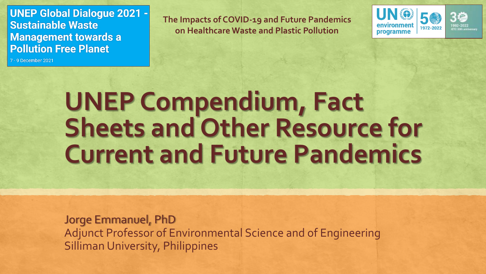**UNEP Global Dialogue 2021 -Sustainable Waste Management towards a Pollution Free Planet** 

7 - 9 December 2021

**The Impacts of COVID-19 and Future Pandemics on Healthcare Waste and Plastic Pollution**



# **UNEP Compendium, Fact Sheets and Other Resource for Current and Future Pandemics**

Jorge Emmanuel, PhD Adjunct Professor of Environmental Science and of Engineering Silliman University, Philippines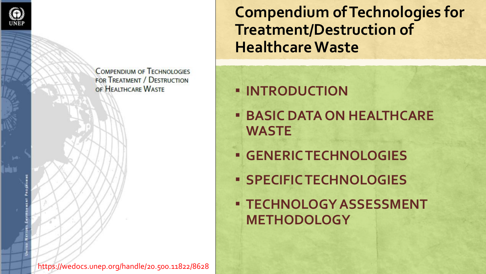

**COMPENDIUM OF TECHNOLOGIES FOR TREATMENT / DESTRUCTION** OF HEALTHCARE WASTE

**Compendium of Technologies for Treatment/Destruction of Healthcare Waste**

▪ **INTRODUCTION**

- **BASIC DATA ON HEALTHCARE WASTE**
- **GENERIC TECHNOLOGIES**
- **SPECIFIC TECHNOLOGIES**
- **TECHNOLOGY ASSESSMENT METHODOLOGY**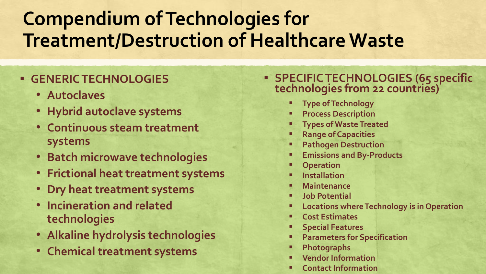## **Compendium of Technologies for Treatment/Destruction of Healthcare Waste**

#### ▪ **GENERIC TECHNOLOGIES**

- **Autoclaves**
- **Hybrid autoclave systems**
- **Continuous steam treatment systems**
- **Batch microwave technologies**
- **Frictional heat treatment systems**
- **Dry heat treatment systems**
- **Incineration and related technologies**
- **Alkaline hydrolysis technologies**
- **Chemical treatment systems**

#### ▪ **SPECIFIC TECHNOLOGIES (65 specific technologies from 22 countries)**

- **Type of Technology**
- **Process Description**
- **Types of Waste Treated**
- **Range of Capacities**
- **Pathogen Destruction**
- **Emissions and By-Products**
- **Operation**
- **Installation**
- **Maintenance**
- **Job Potential**
- **Locations where Technology is in Operation**
- **Cost Estimates**
- **Special Features**
- **Parameters for Specification**
- **Photographs**
- **Vendor Information**
- **Contact Information**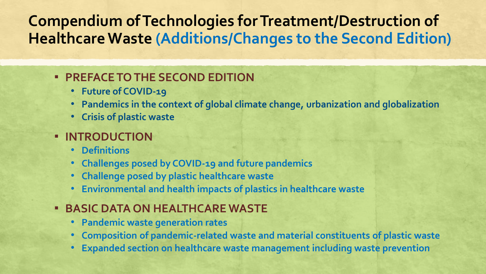### **Compendium of Technologies for Treatment/Destruction of Healthcare Waste (Additions/Changes to the Second Edition)**

#### ▪ **PREFACE TO THE SECOND EDITION**

- **Future of COVID-19**
- **Pandemics in the context of global climate change, urbanization and globalization**
- **Crisis of plastic waste**

#### ▪ **INTRODUCTION**

- **Definitions**
- **Challenges posed by COVID-19 and future pandemics**
- **Challenge posed by plastic healthcare waste**
- **Environmental and health impacts of plastics in healthcare waste**

#### ▪ **BASIC DATA ON HEALTHCARE WASTE**

- **Pandemic waste generation rates**
- **Composition of pandemic-related waste and material constituents of plastic waste**
- **Expanded section on healthcare waste management including waste prevention**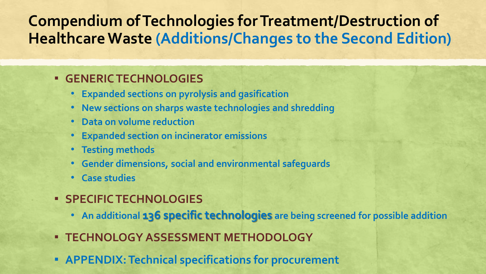### **Compendium of Technologies for Treatment/Destruction of Healthcare Waste (Additions/Changes to the Second Edition)**

#### ▪ **GENERIC TECHNOLOGIES**

- **Expanded sections on pyrolysis and gasification**
- **New sections on sharps waste technologies and shredding**
- **Data on volume reduction**
- **Expanded section on incinerator emissions**
- **Testing methods**
- **Gender dimensions, social and environmental safeguards**
- **Case studies**
- **SPECIFIC TECHNOLOGIES**
	- **An additional 136 specific technologies are being screened for possible addition**
- **TECHNOLOGY ASSESSMENT METHODOLOGY**
- **EXPENDIX: Technical specifications for procurement**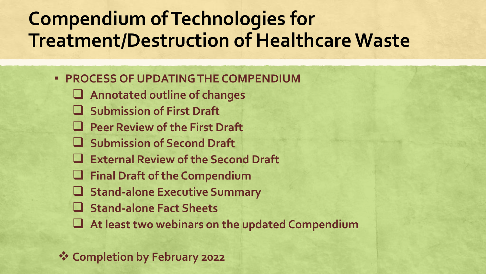## **Compendium of Technologies for Treatment/Destruction of Healthcare Waste**

- **PROCESS OF UPDATING THE COMPENDIUM**
	- ❑ **Annotated outline of changes**
	- ❑ **Submission of First Draft**
	- ❑ **Peer Review of the First Draft**
	- ❑ **Submission of Second Draft**
	- ❑ **External Review of the Second Draft**
	- ❑ **Final Draft of the Compendium**
	- ❑ **Stand-alone Executive Summary**
	- ❑ **Stand-alone Fact Sheets**
	- ❑ **At least two webinars on the updated Compendium**

❖ **Completion by February 2022**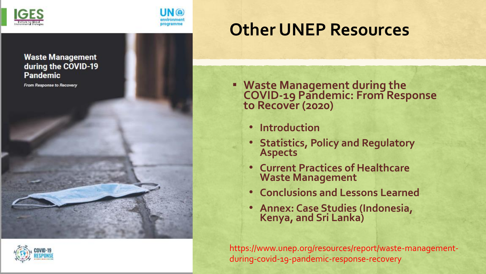



### **Other UNEP Resources**

▪ **Waste Management during the COVID-19 Pandemic: From Response to Recover (2020)**

- **Introduction**
- **Statistics, Policy and Regulatory Aspects**
- **Current Practices of Healthcare Waste Management**
- **Conclusions and Lessons Learned**
- **Annex: Case Studies (Indonesia, Kenya, and Sri Lanka)**

https://www.unep.org/resources/report/waste-managementduring-covid-19-pandemic-response-recovery

**Waste Management** during the COVID-19 **Pandemic** 

From Response to Recovery



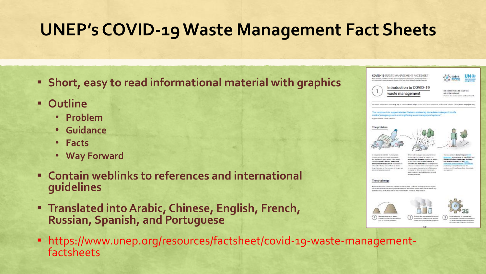## **UNEP's COVID-19 Waste Management Fact Sheets**

- **Short, easy to read informational material with graphics**
- **Outline**
	- **Problem**
	- **Guidance**
	- **Facts**
	- **Way Forward**
- **Contain weblinks to references and international guidelines**
- **Example 1 Example 2 radio into Arabic, Chinese, English, French, Russian, Spanish, and Portuguese**
- https://www.unep.org/resources/factsheet/covid-19-waste-managementfactsheets

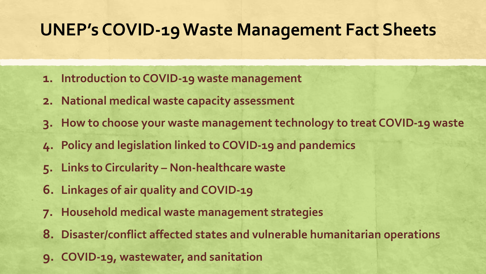### **UNEP's COVID-19 Waste Management Fact Sheets**

- **1. Introduction to COVID-19 waste management**
- **2. National medical waste capacity assessment**
- **3. How to choose your waste management technology to treat COVID-19 waste**
- **4. Policy and legislation linked to COVID-19 and pandemics**
- **5. Links to Circularity – Non-healthcare waste**
- **6. Linkages of air quality and COVID-19**
- **7. Household medical waste management strategies**
- **8. Disaster/conflict affected states and vulnerable humanitarian operations**
- **9. COVID-19, wastewater, and sanitation**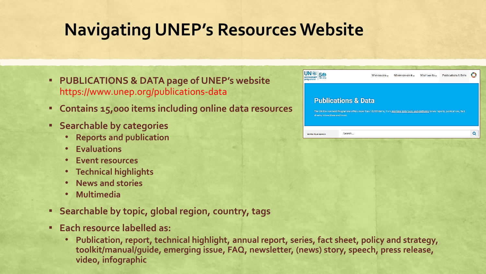## **Navigating UNEP's Resources Website**

- **PUBLICATIONS & DATA page of UNEP's website** https://www.unep.org/publications-data
- **Contains 15,000 items including online data resources**
- **Searchable by categories**
	- **Reports and publication**
	- **Evaluations**
	- **Event resources**
	- **Technical highlights**
	- **News and stories**
	- **Multimedia**
- **Searchable by topic, global region, country, tags**
- **Each resource labelled as:** 
	- **Publication, report, technical highlight, annual report, series, fact sheet, policy and strategy, toolkit/manual/guide, emerging issue, FAQ, newsletter, (news) story, speech, press release, video, infographic**

| teu atta<br>programme            |                                                                                                                                                                          | Who waisra U | Where we work U | What we do us | <b>Publications &amp; Data</b> |   |
|----------------------------------|--------------------------------------------------------------------------------------------------------------------------------------------------------------------------|--------------|-----------------|---------------|--------------------------------|---|
| sheets, interactions and more.   | <b>Publications &amp; Data</b><br>The UN Environment Programme offers more than 15,000 items, from real-time data tools and platforms to key reports, publications, fact |              |                 |               |                                |   |
| <b><i>SEPINE YOUR SENSON</i></b> | Search                                                                                                                                                                   |              |                 |               |                                | Q |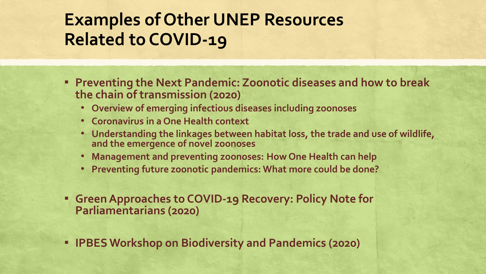## **Examples of Other UNEP Resources Related to COVID-19**

- **<b>EXEL PREVENTING THE NEXT PANDEMIC: Zoonotic diseases and how to break the chain of transmission (2020)**
	- **Overview of emerging infectious diseases including zoonoses**
	- **Coronavirus in a One Health context**
	- **Understanding the linkages between habitat loss, the trade and use of wildlife, and the emergence of novel zoonoses**
	- **Management and preventing zoonoses: How One Health can help**
	- **Preventing future zoonotic pandemics: What more could be done?**
- **Green Approaches to COVID-19 Recovery: Policy Note for Parliamentarians (2020)**
- **IPBES Workshop on Biodiversity and Pandemics (2020)**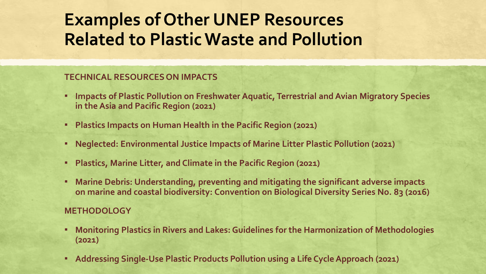## **Examples of Other UNEP Resources Related to Plastic Waste and Pollution**

#### **TECHNICAL RESOURCES ON IMPACTS**

- **EXTERF Impacts of Plastic Pollution on Freshwater Aquatic, Terrestrial and Avian Migratory Species in the Asia and Pacific Region (2021)**
- **Plastics Impacts on Human Health in the Pacific Region (2021)**
- **Neglected: Environmental Justice Impacts of Marine Litter Plastic Pollution (2021)**
- **Plastics, Marine Litter, and Climate in the Pacific Region (2021)**
- **Marine Debris: Understanding, preventing and mitigating the significant adverse impacts on marine and coastal biodiversity: Convention on Biological Diversity Series No. 83 (2016)**

#### **METHODOLOGY**

- **Monitoring Plastics in Rivers and Lakes: Guidelines for the Harmonization of Methodologies (2021)**
- **Addressing Single-Use Plastic Products Pollution using a Life Cycle Approach (2021)**